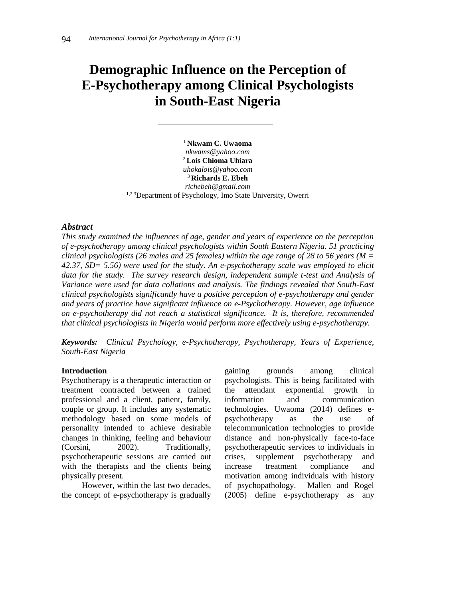# **Demographic Influence on the Perception of E-Psychotherapy among Clinical Psychologists in South-East Nigeria**

<sup>1</sup> **Nkwam C. Uwaoma** *nkwams@yahoo.com* <sup>2</sup> **Lois Chioma Uhiara** *uhokalois@yahoo.com* <sup>3</sup> **Richards E. Ebeh** *richebeh@gmail.com* 1,2,3Department of Psychology, Imo State University, Owerri

#### *Abstract*

*This study examined the influences of age, gender and years of experience on the perception of e-psychotherapy among clinical psychologists within South Eastern Nigeria. 51 practicing clinical psychologists (26 males and 25 females) within the age range of 28 to 56 years (M = 42.37, SD= 5.56) were used for the study. An e-psychotherapy scale was employed to elicit data for the study. The survey research design, independent sample t-test and Analysis of Variance were used for data collations and analysis. The findings revealed that South-East clinical psychologists significantly have a positive perception of e-psychotherapy and gender and years of practice have significant influence on e-Psychotherapy. However, age influence on e-psychotherapy did not reach a statistical significance. It is, therefore, recommended that clinical psychologists in Nigeria would perform more effectively using e-psychotherapy.*

*Keywords: Clinical Psychology, e-Psychotherapy, Psychotherapy, Years of Experience, South-East Nigeria*

#### **Introduction**

Psychotherapy is a therapeutic interaction or treatment contracted between a trained professional and a client, patient, family, couple or group. It includes any systematic methodology based on some models of personality intended to achieve desirable changes in thinking, feeling and behaviour (Corsini, 2002). Traditionally, psychotherapeutic sessions are carried out with the therapists and the clients being physically present.

However, within the last two decades, the concept of e-psychotherapy is gradually

gaining grounds among clinical psychologists. This is being facilitated with the attendant exponential growth in information and communication technologies. Uwaoma (2014) defines epsychotherapy as the use of telecommunication technologies to provide distance and non-physically face-to-face psychotherapeutic services to individuals in crises, supplement psychotherapy and increase treatment compliance and motivation among individuals with history of psychopathology. Mallen and Rogel (2005) define e-psychotherapy as any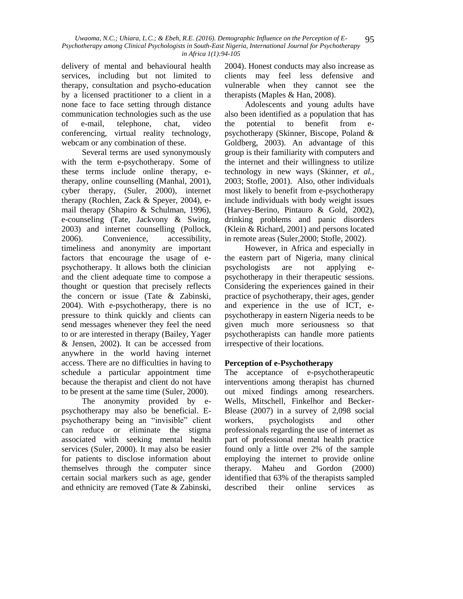delivery of mental and behavioural health services, including but not limited to therapy, consultation and psycho-education by a licensed practitioner to a client in a none face to face setting through distance communication technologies such as the use of e-mail, telephone, chat, video conferencing, virtual reality technology, webcam or any combination of these.

Several terms are used synonymously with the term e-psychotherapy. Some of these terms include online therapy, etherapy, online counselling (Manhal, 2001), cyber therapy, (Suler, 2000), internet therapy (Rochlen, Zack & Speyer, 2004), email therapy (Shapiro & Schulman, 1996), e-counseling (Tate, Jackvony & Swing, 2003) and internet counselling (Pollock, 2006). Convenience, accessibility, timeliness and anonymity are important factors that encourage the usage of epsychotherapy. It allows both the clinician and the client adequate time to compose a thought or question that precisely reflects the concern or issue (Tate & Zabinski, 2004). With e-psychotherapy, there is no pressure to think quickly and clients can send messages whenever they feel the need to or are interested in therapy (Bailey, Yager & Jensen, 2002). It can be accessed from anywhere in the world having internet access. There are no difficulties in having to schedule a particular appointment time because the therapist and client do not have to be present at the same time (Suler, 2000).

The anonymity provided by epsychotherapy may also be beneficial. Epsychotherapy being an "invisible" client can reduce or eliminate the stigma associated with seeking mental health services (Suler, 2000). It may also be easier for patients to disclose information about themselves through the computer since certain social markers such as age, gender and ethnicity are removed (Tate & Zabinski,

2004). Honest conducts may also increase as clients may feel less defensive and vulnerable when they cannot see the therapists (Maples & Han, 2008).

Adolescents and young adults have also been identified as a population that has the potential to benefit from epsychotherapy (Skinner, Biscope, Poland & Goldberg, 2003). An advantage of this group is their familiarity with computers and the internet and their willingness to utilize technology in new ways (Skinner, *et al.,* 2003; Stofle, 2001). Also, other individuals most likely to benefit from e-psychotherapy include individuals with body weight issues (Harvey-Berino, Pintauro & Gold, 2002), drinking problems and panic disorders (Klein & Richard, 2001) and persons located in remote areas (Suler,2000; Stofle, 2002).

However, in Africa and especially in the eastern part of Nigeria, many clinical psychologists are not applying psychotherapy in their therapeutic sessions. Considering the experiences gained in their practice of psychotherapy, their ages, gender and experience in the use of ICT, epsychotherapy in eastern Nigeria needs to be given much more seriousness so that psychotherapists can handle more patients irrespective of their locations.

# **Perception of e-Psychotherapy**

The acceptance of e-psychotherapeutic interventions among therapist has churned out mixed findings among researchers. Wells, Mitschell, Finkelhor and Becker-Blease (2007) in a survey of 2,098 social workers, psychologists and other professionals regarding the use of internet as part of professional mental health practice found only a little over 2% of the sample employing the internet to provide online therapy. Maheu and Gordon (2000) identified that 63% of the therapists sampled described their online services as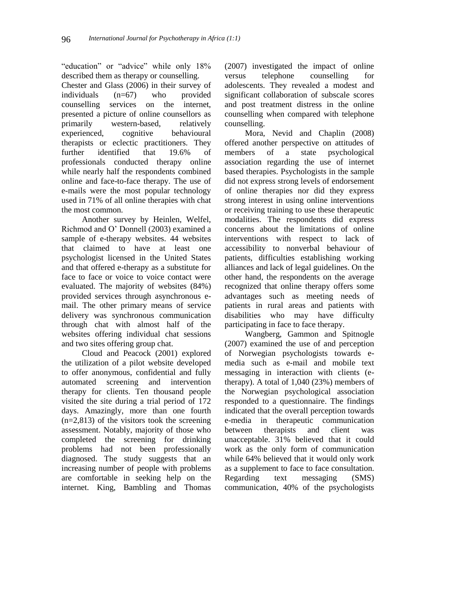"education" or "advice" while only 18% described them as therapy or counselling.

Chester and Glass (2006) in their survey of individuals (n=67) who provided counselling services on the internet, presented a picture of online counsellors as primarily western-based, relatively experienced, cognitive behavioural therapists or eclectic practitioners. They further identified that 19.6% of professionals conducted therapy online while nearly half the respondents combined online and face-to-face therapy. The use of e-mails were the most popular technology used in 71% of all online therapies with chat the most common.

Another survey by Heinlen, Welfel, Richmod and O' Donnell (2003) examined a sample of e-therapy websites. 44 websites that claimed to have at least one psychologist licensed in the United States and that offered e-therapy as a substitute for face to face or voice to voice contact were evaluated. The majority of websites (84%) provided services through asynchronous email. The other primary means of service delivery was synchronous communication through chat with almost half of the websites offering individual chat sessions and two sites offering group chat.

Cloud and Peacock (2001) explored the utilization of a pilot website developed to offer anonymous, confidential and fully automated screening and intervention therapy for clients. Ten thousand people visited the site during a trial period of 172 days. Amazingly, more than one fourth  $(n=2,813)$  of the visitors took the screening assessment. Notably, majority of those who completed the screening for drinking problems had not been professionally diagnosed. The study suggests that an increasing number of people with problems are comfortable in seeking help on the internet. King, Bambling and Thomas

(2007) investigated the impact of online versus telephone counselling for adolescents. They revealed a modest and significant collaboration of subscale scores and post treatment distress in the online counselling when compared with telephone counselling.

Mora, Nevid and Chaplin (2008) offered another perspective on attitudes of members of a state psychological association regarding the use of internet based therapies. Psychologists in the sample did not express strong levels of endorsement of online therapies nor did they express strong interest in using online interventions or receiving training to use these therapeutic modalities. The respondents did express concerns about the limitations of online interventions with respect to lack of accessibility to nonverbal behaviour of patients, difficulties establishing working alliances and lack of legal guidelines. On the other hand, the respondents on the average recognized that online therapy offers some advantages such as meeting needs of patients in rural areas and patients with disabilities who may have difficulty participating in face to face therapy.

Wangberg, Gammon and Spitnogle (2007) examined the use of and perception of Norwegian psychologists towards emedia such as e-mail and mobile text messaging in interaction with clients (etherapy). A total of 1,040 (23%) members of the Norwegian psychological association responded to a questionnaire. The findings indicated that the overall perception towards e-media in therapeutic communication between therapists and client was unacceptable. 31% believed that it could work as the only form of communication while 64% believed that it would only work as a supplement to face to face consultation. Regarding text messaging (SMS) communication, 40% of the psychologists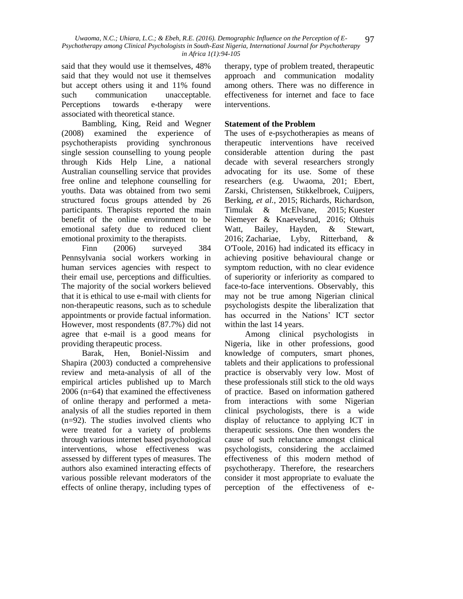*Uwaoma, N.C.; Uhiara, L.C.; & Ebeh, R.E. (2016). Demographic Influence on the Perception of E-Psychotherapy among Clinical Psychologists in South-East Nigeria, International Journal for Psychotherapy in Africa 1(1):94-105* 97

said that they would use it themselves, 48% said that they would not use it themselves but accept others using it and 11% found such communication unacceptable. Perceptions towards e-therapy were associated with theoretical stance.

Bambling, King, Reid and Wegner (2008) examined the experience of psychotherapists providing synchronous single session counselling to young people through Kids Help Line, a national Australian counselling service that provides free online and telephone counselling for youths. Data was obtained from two semi structured focus groups attended by 26 participants. Therapists reported the main benefit of the online environment to be emotional safety due to reduced client emotional proximity to the therapists.

Finn (2006) surveyed 384 Pennsylvania social workers working in human services agencies with respect to their email use, perceptions and difficulties. The majority of the social workers believed that it is ethical to use e-mail with clients for non-therapeutic reasons, such as to schedule appointments or provide factual information. However, most respondents (87.7%) did not agree that e-mail is a good means for providing therapeutic process.

Barak, Hen, Boniel-Nissim and Shapira (2003) conducted a comprehensive review and meta-analysis of all of the empirical articles published up to March 2006 (n=64) that examined the effectiveness of online therapy and performed a metaanalysis of all the studies reported in them (n=92). The studies involved clients who were treated for a variety of problems through various internet based psychological interventions, whose effectiveness was assessed by different types of measures. The authors also examined interacting effects of various possible relevant moderators of the effects of online therapy, including types of therapy, type of problem treated, therapeutic approach and communication modality among others. There was no difference in effectiveness for internet and face to face interventions.

# **Statement of the Problem**

The uses of e-psychotherapies as means of therapeutic interventions have received considerable attention during the past decade with several researchers strongly advocating for its use. Some of these researchers (e.g. Uwaoma, 201; Ebert, Zarski, Christensen, Stikkelbroek, Cuijpers, Berking, *et al.*, 2015; Richards, Richardson, Timulak & McElvane, 2015; Kuester Niemeyer & Knaevelsrud, 2016; Olthuis Watt, Bailey, Hayden, & Stewart, 2016; Zachariae, Lyby, Ritterband, & O'Toole, 2016) had indicated its efficacy in achieving positive behavioural change or symptom reduction, with no clear evidence of superiority or inferiority as compared to face-to-face interventions. Observably, this may not be true among Nigerian clinical psychologists despite the liberalization that has occurred in the Nations' ICT sector within the last 14 years.

Among clinical psychologists in Nigeria, like in other professions, good knowledge of computers, smart phones, tablets and their applications to professional practice is observably very low. Most of these professionals still stick to the old ways of practice. Based on information gathered from interactions with some Nigerian clinical psychologists, there is a wide display of reluctance to applying ICT in therapeutic sessions. One then wonders the cause of such reluctance amongst clinical psychologists, considering the acclaimed effectiveness of this modern method of psychotherapy. Therefore, the researchers consider it most appropriate to evaluate the perception of the effectiveness of e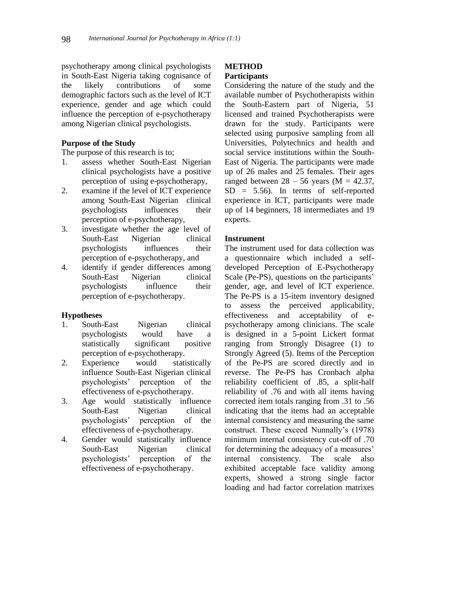psychotherapy among clinical psychologists in South-East Nigeria taking cognisance of the likely contributions of some demographic factors such as the level of ICT experience, gender and age which could influence the perception of e-psychotherapy among Nigerian clinical psychologists.

#### **Purpose of the Study**

The purpose of this research is to;

- 1. assess whether South-East Nigerian clinical psychologists have a positive perception of using e-psychotherapy,
- 2. examine if the level of ICT experience among South-East Nigerian clinical psychologists influences their perception of e-psychotherapy,
- 3. investigate whether the age level of South-East Nigerian clinical psychologists influences their perception of e-psychotherapy, and
- 4. identify if gender differences among South-East Nigerian clinical psychologists influence their perception of e-psychotherapy.

#### **Hypotheses**

- 1. South-East Nigerian clinical psychologists would have a statistically significant positive perception of e-psychotherapy.
- 2. Experience would statistically influence South-East Nigerian clinical psychologists' perception of the effectiveness of e-psychotherapy.
- 3. Age would statistically influence South-East Nigerian clinical psychologists' perception of the effectiveness of e-psychotherapy.
- 4. Gender would statistically influence South-East Nigerian clinical psychologists' perception of the effectiveness of e-psychotherapy.

# **METHOD Participants**

Considering the nature of the study and the available number of Psychotherapists within the South-Eastern part of Nigeria, 51 licensed and trained Psychotherapists were drawn for the study. Participants were selected using purposive sampling from all Universities, Polytechnics and health and social service institutions within the South-East of Nigeria. The participants were made up of 26 males and 25 females. Their ages ranged between  $28 - 56$  years (M = 42.37,  $SD = 5.56$ . In terms of self-reported experience in ICT, participants were made up of 14 beginners, 18 intermediates and 19 experts.

# **Instrument**

The instrument used for data collection was a questionnaire which included a selfdeveloped Perception of E-Psychotherapy Scale (Pe-PS), questions on the participants' gender, age, and level of ICT experience. The Pe-PS is a 15-item inventory designed to assess the perceived applicability, effectiveness and acceptability of epsychotherapy among clinicians. The scale is designed in a 5-point Lickert format ranging from Strongly Disagree (1) to Strongly Agreed (5). Items of the Perception of the Pe-PS are scored directly and in reverse. The Pe-PS has Cronbach alpha reliability coefficient of .85, a split-half reliability of .76 and with all items having corrected item totals ranging from .31 to .56 indicating that the items had an acceptable internal consistency and measuring the same construct. These exceed Nunnally's (1978) minimum internal consistency cut-off of .70 for determining the adequacy of a measures' internal consistency. The scale also exhibited acceptable face validity among experts, showed a strong single factor loading and had factor correlation matrixes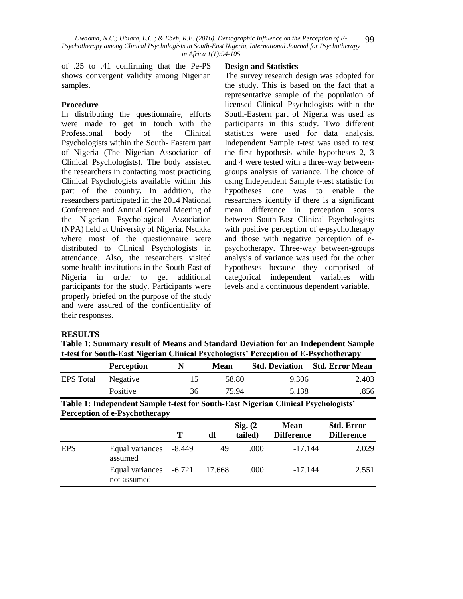of .25 to .41 confirming that the Pe-PS shows convergent validity among Nigerian samples.

# **Procedure**

In distributing the questionnaire, efforts were made to get in touch with the Professional body of the Clinical Psychologists within the South- Eastern part of Nigeria (The Nigerian Association of Clinical Psychologists). The body assisted the researchers in contacting most practicing Clinical Psychologists available within this part of the country. In addition, the researchers participated in the 2014 National Conference and Annual General Meeting of the Nigerian Psychological Association (NPA) held at University of Nigeria, Nsukka where most of the questionnaire were distributed to Clinical Psychologists in attendance. Also, the researchers visited some health institutions in the South-East of Nigeria in order to get additional participants for the study. Participants were properly briefed on the purpose of the study and were assured of the confidentiality of their responses.

#### **Design and Statistics**

The survey research design was adopted for the study. This is based on the fact that a representative sample of the population of licensed Clinical Psychologists within the South-Eastern part of Nigeria was used as participants in this study. Two different statistics were used for data analysis. Independent Sample t-test was used to test the first hypothesis while hypotheses 2, 3 and 4 were tested with a three-way betweengroups analysis of variance. The choice of using Independent Sample t-test statistic for hypotheses one was to enable the researchers identify if there is a significant mean difference in perception scores between South-East Clinical Psychologists with positive perception of e-psychotherapy and those with negative perception of epsychotherapy. Three-way between-groups analysis of variance was used for the other hypotheses because they comprised of categorical independent variables with levels and a continuous dependent variable.

#### **RESULTS**

**Table 1**: **Summary result of Means and Standard Deviation for an Independent Sample t-test for South-East Nigerian Clinical Psychologists' Perception of E-Psychotherapy**

|                  | <b>Perception</b> | N  | <b>Mean</b> |       | <b>Std. Deviation</b> Std. Error Mean |
|------------------|-------------------|----|-------------|-------|---------------------------------------|
| <b>EPS</b> Total | Negative          |    | 58.80       | 9.306 | 2.403                                 |
|                  | Positive          | 36 | 75.94       | 5.138 | 856                                   |

| Table 1: Independent Sample t-test for South-East Nigerian Clinical Psychologists' |  |
|------------------------------------------------------------------------------------|--|
| <b>Perception of e-Psychotherapy</b>                                               |  |

|            |                                       | T      | df     | Sig. $(2-$<br>tailed) | <b>Mean</b><br><b>Difference</b> | <b>Std. Error</b><br><b>Difference</b> |
|------------|---------------------------------------|--------|--------|-----------------------|----------------------------------|----------------------------------------|
| <b>EPS</b> | Equal variances<br>assumed            | -8.449 | 49     | .000                  | $-17.144$                        | 2.029                                  |
|            | Equal variances -6.721<br>not assumed |        | 17.668 | .000                  | $-17.144$                        | 2.551                                  |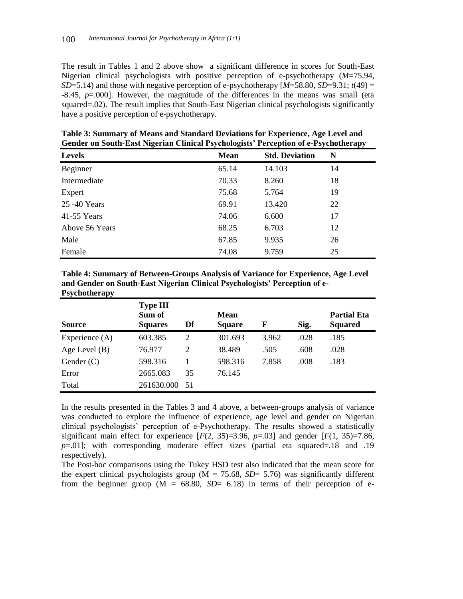The result in Tables 1 and 2 above show a significant difference in scores for South-East Nigerian clinical psychologists with positive perception of e-psychotherapy (*M*=75.94, *SD*=5.14) and those with negative perception of e-psychotherapy  $[M=58.80, SD=9.31; t(49)$  = -8.45, *p*=.000]. However, the magnitude of the differences in the means was small (eta squared=.02). The result implies that South-East Nigerian clinical psychologists significantly have a positive perception of e-psychotherapy.

| -              | -           |                       | $\cdot$<br>. . |  |
|----------------|-------------|-----------------------|----------------|--|
| <b>Levels</b>  | <b>Mean</b> | <b>Std. Deviation</b> | N              |  |
| Beginner       | 65.14       | 14.103                | 14             |  |
| Intermediate   | 70.33       | 8.260                 | 18             |  |
| Expert         | 75.68       | 5.764                 | 19             |  |
| 25 - 40 Years  | 69.91       | 13.420                | 22             |  |
| 41-55 Years    | 74.06       | 6.600                 | 17             |  |
| Above 56 Years | 68.25       | 6.703                 | 12             |  |
| Male           | 67.85       | 9.935                 | 26             |  |
| Female         | 74.08       | 9.759                 | 25             |  |

**Table 3: Summary of Means and Standard Deviations for Experience, Age Level and Gender on South-East Nigerian Clinical Psychologists' Perception of e-Psychotherapy**

| Table 4: Summary of Between-Groups Analysis of Variance for Experience, Age Level |
|-----------------------------------------------------------------------------------|
| and Gender on South-East Nigerian Clinical Psychologists' Perception of e-        |
| <b>Psychotherapy</b>                                                              |

| <b>Source</b>    | <b>Type III</b><br>Sum of<br><b>Squares</b> | Df   | <b>Mean</b><br><b>Square</b> | F     | Sig. | <b>Partial Eta</b><br><b>Squared</b> |
|------------------|---------------------------------------------|------|------------------------------|-------|------|--------------------------------------|
| Experience $(A)$ | 603.385                                     | 2    | 301.693                      | 3.962 | .028 | .185                                 |
| Age Level $(B)$  | 76.977                                      | 2    | 38.489                       | .505  | .608 | .028                                 |
| Gender $(C)$     | 598.316                                     |      | 598.316                      | 7.858 | .008 | .183                                 |
| Error            | 2665.083                                    | 35   | 76.145                       |       |      |                                      |
| Total            | 261630.000                                  | - 51 |                              |       |      |                                      |

In the results presented in the Tables 3 and 4 above, a between-groups analysis of variance was conducted to explore the influence of experience, age level and gender on Nigerian clinical psychologists' perception of e-Psychotherapy. The results showed a statistically significant main effect for experience  $[F(2, 35)=3.96, p=.03]$  and gender  $[F(1, 35)=7.86,$ *p*=.01]; with corresponding moderate effect sizes (partial eta squared=.18 and .19 respectively).

The Post-hoc comparisons using the Tukey HSD test also indicated that the mean score for the expert clinical psychologists group ( $M = 75.68$ ,  $SD = 5.76$ ) was significantly different from the beginner group  $(M = 68.80, SD = 6.18)$  in terms of their perception of e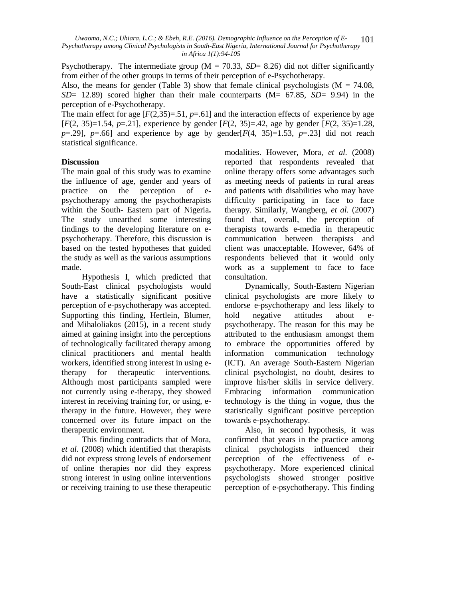Psychotherapy. The intermediate group ( $M = 70.33$ ,  $SD = 8.26$ ) did not differ significantly from either of the other groups in terms of their perception of e-Psychotherapy.

Also, the means for gender (Table 3) show that female clinical psychologists ( $M = 74.08$ , *SD*= 12.89) scored higher than their male counterparts (M= 67.85, *SD*= 9.94) in the perception of e-Psychotherapy.

The main effect for age  $[F(2,35)=0.51, p=0.61]$  and the interaction effects of experience by age [*F*(2, 35)=1.54, *p*=.21], experience by gender [*F*(2, 35)=.42, age by gender [*F*(2, 35)=1.28, *p*=.29], *p*=.66] and experience by age by gender[ $F(4, 35)$ =1.53, *p*=.23] did not reach statistical significance.

# **Discussion**

The main goal of this study was to examine the influence of age, gender and years of practice on the perception of epsychotherapy among the psychotherapists within the South- Eastern part of Nigeria**.**  The study unearthed some interesting findings to the developing literature on epsychotherapy. Therefore, this discussion is based on the tested hypotheses that guided the study as well as the various assumptions made.

Hypothesis I, which predicted that South-East clinical psychologists would have a statistically significant positive perception of e-psychotherapy was accepted. Supporting this finding, Hertlein, Blumer, and Mihaloliakos (2015), in a recent study aimed at gaining insight into the perceptions of technologically facilitated therapy among clinical practitioners and mental health workers, identified strong interest in using etherapy for therapeutic interventions. Although most participants sampled were not currently using e-therapy, they showed interest in receiving training for, or using, etherapy in the future. However, they were concerned over its future impact on the therapeutic environment.

This finding contradicts that of Mora, *et al.* (2008) which identified that therapists did not express strong levels of endorsement of online therapies nor did they express strong interest in using online interventions or receiving training to use these therapeutic

modalities. However, Mora, *et al.* (2008) reported that respondents revealed that online therapy offers some advantages such as meeting needs of patients in rural areas and patients with disabilities who may have difficulty participating in face to face therapy. Similarly, Wangberg, *et al.* (2007) found that, overall, the perception of therapists towards e-media in therapeutic communication between therapists and client was unacceptable. However, 64% of respondents believed that it would only work as a supplement to face to face consultation.

Dynamically, South-Eastern Nigerian clinical psychologists are more likely to endorse e-psychotherapy and less likely to hold negative attitudes about epsychotherapy. The reason for this may be attributed to the enthusiasm amongst them to embrace the opportunities offered by information communication technology (ICT). An average South-Eastern Nigerian clinical psychologist, no doubt, desires to improve his/her skills in service delivery. Embracing information communication technology is the thing in vogue, thus the statistically significant positive perception towards e-psychotherapy.

Also, in second hypothesis, it was confirmed that years in the practice among clinical psychologists influenced their perception of the effectiveness of epsychotherapy. More experienced clinical psychologists showed stronger positive perception of e-psychotherapy. This finding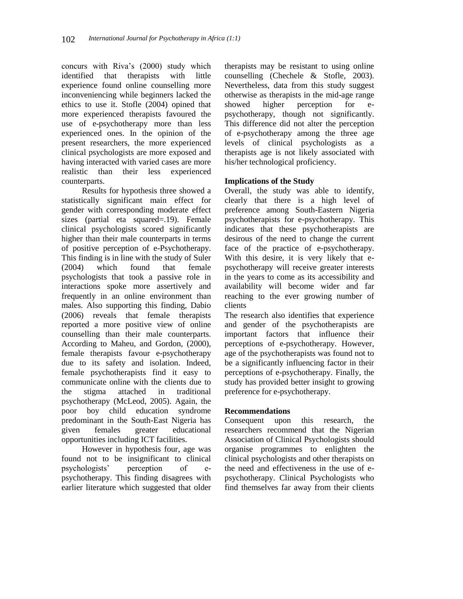concurs with Riva's (2000) study which identified that therapists with little experience found online counselling more inconveniencing while beginners lacked the ethics to use it. Stofle (2004) opined that more experienced therapists favoured the use of e-psychotherapy more than less experienced ones. In the opinion of the present researchers, the more experienced clinical psychologists are more exposed and having interacted with varied cases are more realistic than their less experienced counterparts.

Results for hypothesis three showed a statistically significant main effect for gender with corresponding moderate effect sizes (partial eta squared=.19). Female clinical psychologists scored significantly higher than their male counterparts in terms of positive perception of e-Psychotherapy. This finding is in line with the study of Suler (2004) which found that female psychologists that took a passive role in interactions spoke more assertively and frequently in an online environment than males. Also supporting this finding, Dabio (2006) reveals that female therapists reported a more positive view of online counselling than their male counterparts. According to Maheu, and Gordon, (2000), female therapists favour e-psychotherapy due to its safety and isolation. Indeed, female psychotherapists find it easy to communicate online with the clients due to the stigma attached in traditional psychotherapy (McLeod, 2005). Again, the poor boy child education syndrome predominant in the South-East Nigeria has given females greater educational opportunities including ICT facilities.

However in hypothesis four, age was found not to be insignificant to clinical psychologists' perception of epsychotherapy. This finding disagrees with earlier literature which suggested that older

therapists may be resistant to using online counselling (Chechele & Stofle, 2003). Nevertheless, data from this study suggest otherwise as therapists in the mid-age range showed higher perception for epsychotherapy, though not significantly. This difference did not alter the perception of e-psychotherapy among the three age levels of clinical psychologists as a therapists age is not likely associated with his/her technological proficiency.

# **Implications of the Study**

Overall, the study was able to identify, clearly that there is a high level of preference among South-Eastern Nigeria psychotherapists for e-psychotherapy. This indicates that these psychotherapists are desirous of the need to change the current face of the practice of e-psychotherapy. With this desire, it is very likely that epsychotherapy will receive greater interests in the years to come as its accessibility and availability will become wider and far reaching to the ever growing number of clients

The research also identifies that experience and gender of the psychotherapists are important factors that influence their perceptions of e-psychotherapy. However, age of the psychotherapists was found not to be a significantly influencing factor in their perceptions of e-psychotherapy. Finally, the study has provided better insight to growing preference for e-psychotherapy.

# **Recommendations**

Consequent upon this research, the researchers recommend that the Nigerian Association of Clinical Psychologists should organise programmes to enlighten the clinical psychologists and other therapists on the need and effectiveness in the use of epsychotherapy. Clinical Psychologists who find themselves far away from their clients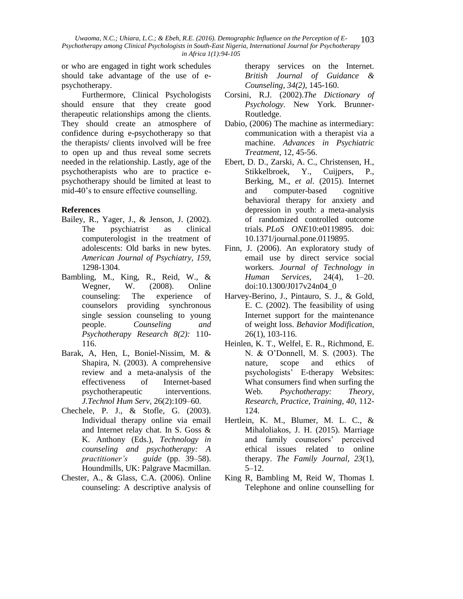*Uwaoma, N.C.; Uhiara, L.C.; & Ebeh, R.E. (2016). Demographic Influence on the Perception of E-Psychotherapy among Clinical Psychologists in South-East Nigeria, International Journal for Psychotherapy in Africa 1(1):94-105* 103

or who are engaged in tight work schedules should take advantage of the use of epsychotherapy.

Furthermore, Clinical Psychologists should ensure that they create good therapeutic relationships among the clients. They should create an atmosphere of confidence during e-psychotherapy so that the therapists/ clients involved will be free to open up and thus reveal some secrets needed in the relationship. Lastly, age of the psychotherapists who are to practice epsychotherapy should be limited at least to mid-40's to ensure effective counselling.

# **References**

- Bailey, R., Yager, J., & Jenson, J. (2002). The psychiatrist as clinical computerologist in the treatment of adolescents: Old barks in new bytes. *American Journal of Psychiatry, 159*, 1298-1304.
- Bambling, M., King, R., Reid, W., & Wegner, W. (2008). Online counseling: The experience of counselors providing synchronous single session counseling to young people. *Counseling and Psychotherapy Research 8(2):* 110- 116.
- Barak, A, Hen, L, Boniel-Nissim, M. & Shapira, N. (2003). A comprehensive review and a meta-analysis of the effectiveness of Internet-based psychotherapeutic interventions. *J.Technol Hum Serv*, 26(2):109–60.
- Chechele, P. J., & Stofle, G. (2003). Individual therapy online via email and Internet relay chat. In S. Goss & K. Anthony (Eds.), *Technology in counseling and psychotherapy: A practitioner's guide* (pp. 39–58). Houndmills, UK: Palgrave Macmillan.
- Chester, A., & Glass, C.A. (2006). Online counseling: A descriptive analysis of

therapy services on the Internet. *British Journal of Guidance & Counseling, 34(2)*, 145-160.

- Corsini, R.J. (2002).*The Dictionary of Psychology*. New York. Brunner-Routledge.
- Dabio, (2006) The machine as intermediary: communication with a therapist via a machine. *Advances in Psychiatric Treatment*, 12, 45-56.
- Ebert, D. D., Zarski, A. C., Christensen, H., Stikkelbroek, Y., Cuijpers, P., Berking, M., *et al.* (2015). Internet and computer-based cognitive behavioral therapy for anxiety and depression in youth: a meta-analysis of randomized controlled outcome trials. *PLoS ONE*10:e0119895. doi: 10.1371/journal.pone.0119895.
- Finn, J. (2006). An exploratory study of email use by direct service social workers. *Journal of Technology in Human Services*, 24(4), 1–20. doi:10.1300/J017v24n04\_0
- Harvey-Berino, J., Pintauro, S. J., & Gold, E. C. (2002). The feasibility of using Internet support for the maintenance of weight loss. *Behavior Modification*, 26(1), 103-116.
- Heinlen, K. T., Welfel, E. R., Richmond, E. N. & O'Donnell, M. S. (2003). The nature, scope and ethics of psychologists' E-therapy Websites: What consumers find when surfing the Web. *Psychotherapy: Theory, Research, Practice, Training, 40,* 112- 124.
- Hertlein, K. M., Blumer, M. L. C., & Mihaloliakos, J. H. (2015). Marriage and family counselors' perceived ethical issues related to online therapy. *The Family Journal, 23*(1), 5–12.
- King R, Bambling M, Reid W, Thomas I. Telephone and online counselling for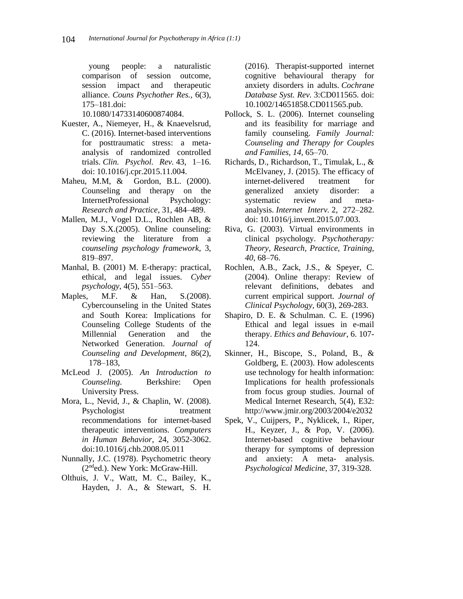young people: a naturalistic comparison of session outcome, session impact and therapeutic alliance. *Couns Psychother Res.,* 6(3), 175–181.doi:

10.1080/14733140600874084.

- Kuester, A., Niemeyer, H., & Knaevelsrud, C. (2016). Internet-based interventions for posttraumatic stress: a metaanalysis of randomized controlled trials. *Clin. Psychol. Rev.* 43, 1–16. doi: 10.1016/j.cpr.2015.11.004.
- Maheu, M.M, & Gordon, B.L. (2000). Counseling and therapy on the InternetProfessional Psychology: *Research and Practice*, 31, 484–489.
- Mallen, M.J., Vogel D.L., Rochlen AB, & Day S.X.(2005). Online counseling: reviewing the literature from a *counseling psychology framework*, 3, 819–897.
- Manhal, B. (2001) M. E-therapy: practical, ethical, and legal issues. *Cyber psychology*, 4(5), 551–563.
- Maples, M.F. & Han, S.(2008). Cybercounseling in the United States and South Korea: Implications for Counseling College Students of the Millennial Generation and the Networked Generation. *Journal of Counseling and Development*, 86(2), 178–183,
- McLeod J. (2005). *An Introduction to Counseling*. Berkshire: Open University Press.
- Mora, L., Nevid, J., & Chaplin, W. (2008). Psychologist treatment recommendations for internet-based therapeutic interventions. *Computers in Human Behavior*, 24, 3052-3062. doi:10.1016/j.chb.2008.05.011
- Nunnally, J.C. (1978). Psychometric theory (2nded.). New York: McGraw-Hill.
- Olthuis, J. V., Watt, M. C., Bailey, K., Hayden, J. A., & Stewart, S. H.

(2016). Therapist-supported internet cognitive behavioural therapy for anxiety disorders in adults. *Cochrane Database Syst. Rev.* 3:CD011565. doi: 10.1002/14651858.CD011565.pub.

- Pollock, S. L. (2006). Internet counseling and its feasibility for marriage and family counseling. *Family Journal: Counseling and Therapy for Couples and Families, 14*, 65–70.
- Richards, D., Richardson, T., Timulak, L., & McElvaney, J. (2015). The efficacy of internet-delivered treatment for generalized anxiety disorder: a systematic review and metaanalysis. *Internet Interv.* 2, 272–282. doi: 10.1016/j.invent.2015.07.003.
- Riva, G. (2003). Virtual environments in clinical psychology. *Psychotherapy: Theory, Research, Practice, Training, 40*, 68–76.
- Rochlen, A.B., Zack, J.S., & Speyer, C. (2004). Online therapy: Review of relevant definitions, debates and current empirical support*. Journal of Clinical Psychology,* 60(3), 269-283.
- Shapiro, D. E. & Schulman. C. E. (1996) Ethical and legal issues in e-mail therapy. *Ethics and Behaviour*, 6. 107- 124.
- Skinner, H., Biscope, S., Poland, B., & Goldberg, E. (2003). How adolescents use technology for health information: Implications for health professionals from focus group studies. Journal of Medical Internet Research, 5(4), E32: http://www.jmir.org/2003/2004/e2032
- Spek, V., Cuijpers, P., Nyklicek, I., Riper, H., Keyzer, J., & Pop, V. (2006). Internet-based cognitive behaviour therapy for symptoms of depression and anxiety: A meta- analysis. *Psychological Medicine*, 37, 319-328.